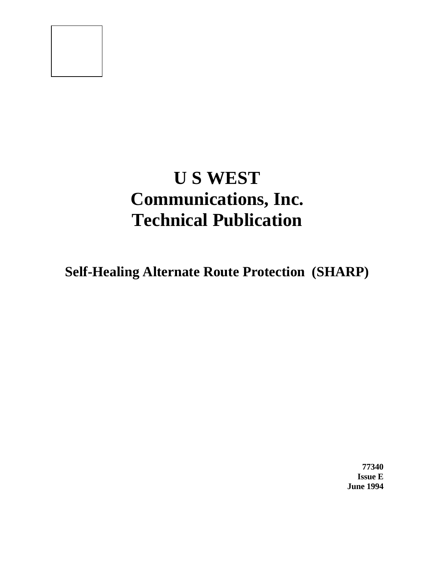# **U S WEST Communications, Inc. Technical Publication**

**Self-Healing Alternate Route Protection (SHARP)**

**77340 Issue E June 1994**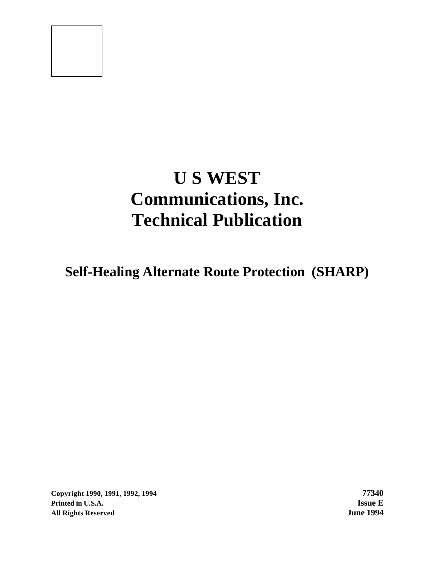# **U S WEST Communications, Inc. Technical Publication**

**Self-Healing Alternate Route Protection (SHARP)**

**Copyright 1990, 1991, 1992, 1994 77340 Printed in U.S.A. Issue E All Rights Reserved June 1994**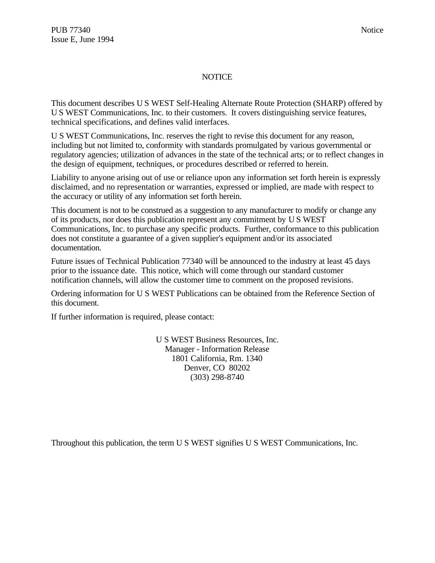## NOTICE

This document describes U S WEST Self-Healing Alternate Route Protection (SHARP) offered by U S WEST Communications, Inc. to their customers. It covers distinguishing service features, technical specifications, and defines valid interfaces.

U S WEST Communications, Inc. reserves the right to revise this document for any reason, including but not limited to, conformity with standards promulgated by various governmental or regulatory agencies; utilization of advances in the state of the technical arts; or to reflect changes in the design of equipment, techniques, or procedures described or referred to herein.

Liability to anyone arising out of use or reliance upon any information set forth herein is expressly disclaimed, and no representation or warranties, expressed or implied, are made with respect to the accuracy or utility of any information set forth herein.

This document is not to be construed as a suggestion to any manufacturer to modify or change any of its products, nor does this publication represent any commitment by U S WEST Communications, Inc. to purchase any specific products. Further, conformance to this publication does not constitute a guarantee of a given supplier's equipment and/or its associated documentation.

Future issues of Technical Publication 77340 will be announced to the industry at least 45 days prior to the issuance date. This notice, which will come through our standard customer notification channels, will allow the customer time to comment on the proposed revisions.

Ordering information for U S WEST Publications can be obtained from the Reference Section of this document.

If further information is required, please contact:

U S WEST Business Resources, Inc. Manager - Information Release 1801 California, Rm. 1340 Denver, CO 80202 (303) 298-8740

Throughout this publication, the term U S WEST signifies U S WEST Communications, Inc.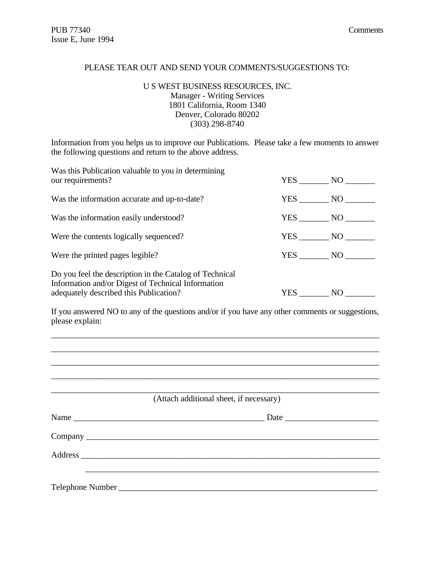#### PLEASE TEAR OUT AND SEND YOUR COMMENTS/SUGGESTIONS TO:

#### U S WEST BUSINESS RESOURCES, INC. Manager - Writing Services 1801 California, Room 1340 Denver, Colorado 80202 (303) 298-8740

Information from you helps us to improve our Publications. Please take a few moments to answer the following questions and return to the above address.

| Was this Publication valuable to you in determining<br>our requirements?                                                                                |        | YES NO   |
|---------------------------------------------------------------------------------------------------------------------------------------------------------|--------|----------|
| Was the information accurate and up-to-date?                                                                                                            | YES NO |          |
| Was the information easily understood?                                                                                                                  | YES NO |          |
| Were the contents logically sequenced?                                                                                                                  | YES NO |          |
| Were the printed pages legible?                                                                                                                         |        | $YES$ NO |
| Do you feel the description in the Catalog of Technical<br>Information and/or Digest of Technical Information<br>adequately described this Publication? | YES    | NO       |

If you answered NO to any of the questions and/or if you have any other comments or suggestions, please explain:

\_\_\_\_\_\_\_\_\_\_\_\_\_\_\_\_\_\_\_\_\_\_\_\_\_\_\_\_\_\_\_\_\_\_\_\_\_\_\_\_\_\_\_\_\_\_\_\_\_\_\_\_\_\_\_\_\_\_\_\_\_\_\_\_\_\_\_\_\_\_\_\_\_\_\_\_\_

| (Attach additional sheet, if necessary) |  |
|-----------------------------------------|--|
| Name                                    |  |
|                                         |  |
|                                         |  |
|                                         |  |
|                                         |  |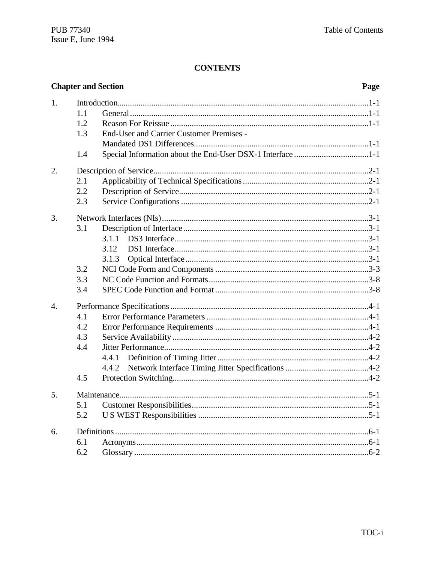# **CONTENTS**

|                  |     | <b>Chapter and Section</b>                                 | Page |
|------------------|-----|------------------------------------------------------------|------|
| 1.               |     |                                                            |      |
|                  | 1.1 |                                                            |      |
|                  | 1.2 |                                                            |      |
|                  | 1.3 | <b>End-User and Carrier Customer Premises -</b>            |      |
|                  |     |                                                            |      |
|                  | 1.4 | Special Information about the End-User DSX-1 Interface 1-1 |      |
| 2.               |     |                                                            |      |
|                  | 2.1 |                                                            |      |
|                  | 2.2 |                                                            |      |
|                  | 2.3 |                                                            |      |
| 3.               |     |                                                            |      |
|                  | 3.1 |                                                            |      |
|                  |     | 3.1.1                                                      |      |
|                  |     | 3.12                                                       |      |
|                  |     | 3.1.3                                                      |      |
|                  | 3.2 |                                                            |      |
|                  | 3.3 |                                                            |      |
|                  | 3.4 |                                                            |      |
| $\overline{4}$ . |     |                                                            |      |
|                  | 4.1 |                                                            |      |
|                  | 4.2 |                                                            |      |
|                  | 4.3 |                                                            |      |
|                  | 4.4 |                                                            |      |
|                  |     | 4.4.1                                                      |      |
|                  |     | 4.4.2                                                      |      |
|                  | 4.5 |                                                            |      |
| 5.               |     |                                                            |      |
|                  | 5.1 |                                                            |      |
|                  | 5.2 |                                                            |      |
| 6.               |     |                                                            |      |
|                  | 6.1 |                                                            |      |
|                  | 6.2 |                                                            |      |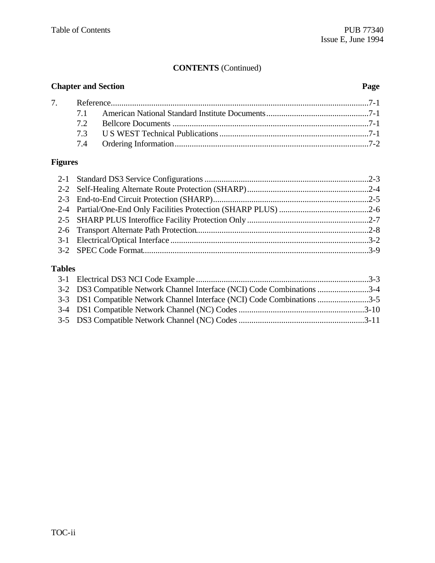# **CONTENTS** (Continued)

| <b>Chapter and Section</b> |    | Page |  |
|----------------------------|----|------|--|
|                            |    |      |  |
|                            |    |      |  |
|                            | 72 |      |  |
|                            |    |      |  |
|                            |    |      |  |

# **Figures**

# **Tables**

| 3-2 DS3 Compatible Network Channel Interface (NCI) Code Combinations 3-4 |  |
|--------------------------------------------------------------------------|--|
| 3-3 DS1 Compatible Network Channel Interface (NCI) Code Combinations 3-5 |  |
|                                                                          |  |
|                                                                          |  |
|                                                                          |  |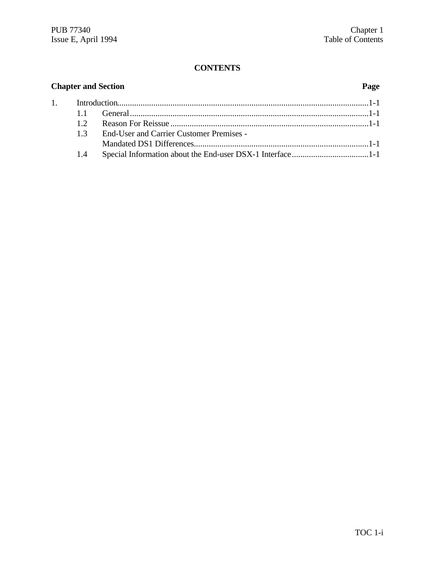# **CONTENTS**

| <b>Chapter and Section</b> |                                                 | Page |
|----------------------------|-------------------------------------------------|------|
|                            |                                                 |      |
|                            |                                                 |      |
| 12                         |                                                 |      |
| 13                         | <b>End-User and Carrier Customer Premises -</b> |      |
|                            |                                                 |      |
| 1.4                        |                                                 |      |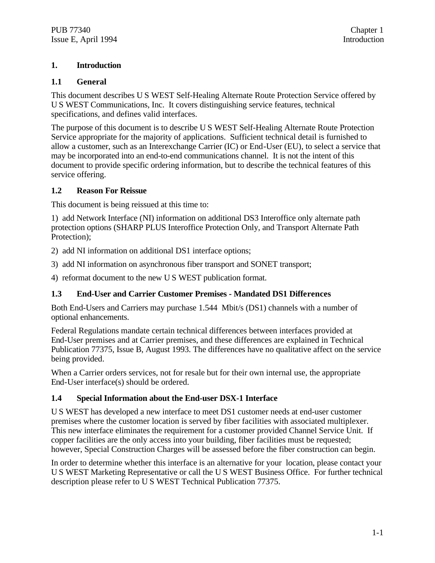# **1. Introduction**

## **1.1 General**

This document describes U S WEST Self-Healing Alternate Route Protection Service offered by U S WEST Communications, Inc. It covers distinguishing service features, technical specifications, and defines valid interfaces.

The purpose of this document is to describe U S WEST Self-Healing Alternate Route Protection Service appropriate for the majority of applications. Sufficient technical detail is furnished to allow a customer, such as an Interexchange Carrier (IC) or End-User (EU), to select a service that may be incorporated into an end-to-end communications channel. It is not the intent of this document to provide specific ordering information, but to describe the technical features of this service offering.

## **1.2 Reason For Reissue**

This document is being reissued at this time to:

1) add Network Interface (NI) information on additional DS3 Interoffice only alternate path protection options (SHARP PLUS Interoffice Protection Only, and Transport Alternate Path Protection);

2) add NI information on additional DS1 interface options;

3) add NI information on asynchronous fiber transport and SONET transport;

4) reformat document to the new U S WEST publication format.

## **1.3 End-User and Carrier Customer Premises - Mandated DS1 Differences**

Both End-Users and Carriers may purchase 1.544 Mbit/s (DS1) channels with a number of optional enhancements.

Federal Regulations mandate certain technical differences between interfaces provided at End-User premises and at Carrier premises, and these differences are explained in Technical Publication 77375, Issue B, August 1993. The differences have no qualitative affect on the service being provided.

When a Carrier orders services, not for resale but for their own internal use, the appropriate End-User interface(s) should be ordered.

## **1.4 Special Information about the End-user DSX-1 Interface**

U S WEST has developed a new interface to meet DS1 customer needs at end-user customer premises where the customer location is served by fiber facilities with associated multiplexer. This new interface eliminates the requirement for a customer provided Channel Service Unit. If copper facilities are the only access into your building, fiber facilities must be requested; however, Special Construction Charges will be assessed before the fiber construction can begin.

In order to determine whether this interface is an alternative for your location, please contact your U S WEST Marketing Representative or call the U S WEST Business Office. For further technical description please refer to U S WEST Technical Publication 77375.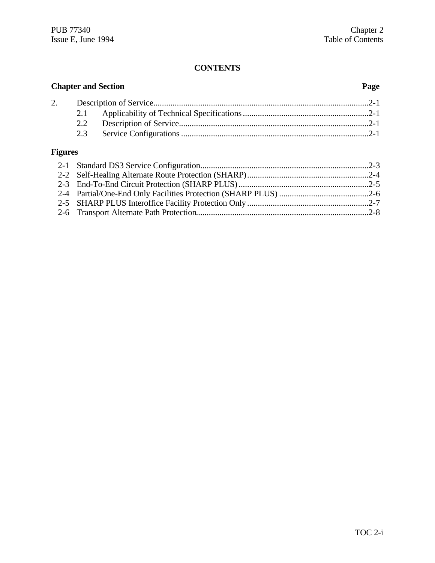# **CONTENTS**

| <b>Chapter and Section</b> |     | Page |  |
|----------------------------|-----|------|--|
| 2.                         |     |      |  |
|                            | 2.1 |      |  |
|                            | 2.2 |      |  |
|                            | 2.3 |      |  |
| <b>Figures</b>             |     |      |  |
|                            |     |      |  |
|                            |     |      |  |
|                            |     |      |  |
|                            |     |      |  |

2-5 SHARP PLUS Interoffice Facility Protection Only .........................................................2-7 2-6 Transport Alternate Path Protection.................................................................................2-8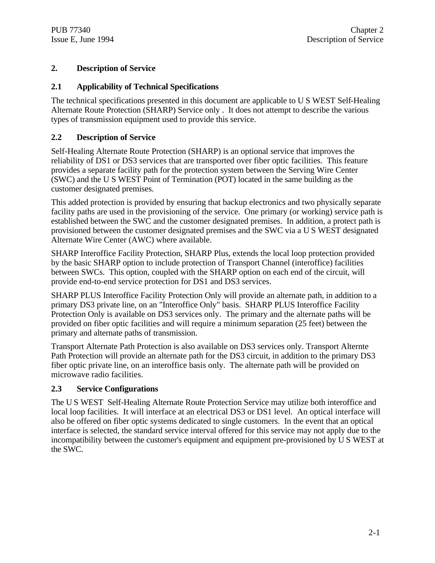# **2. Description of Service**

# **2.1 Applicability of Technical Specifications**

The technical specifications presented in this document are applicable to U S WEST Self-Healing Alternate Route Protection (SHARP) Service only . It does not attempt to describe the various types of transmission equipment used to provide this service.

# **2.2 Description of Service**

Self-Healing Alternate Route Protection (SHARP) is an optional service that improves the reliability of DS1 or DS3 services that are transported over fiber optic facilities. This feature provides a separate facility path for the protection system between the Serving Wire Center (SWC) and the U S WEST Point of Termination (POT) located in the same building as the customer designated premises.

This added protection is provided by ensuring that backup electronics and two physically separate facility paths are used in the provisioning of the service. One primary (or working) service path is established between the SWC and the customer designated premises. In addition, a protect path is provisioned between the customer designated premises and the SWC via a U S WEST designated Alternate Wire Center (AWC) where available.

SHARP Interoffice Facility Protection, SHARP Plus, extends the local loop protection provided by the basic SHARP option to include protection of Transport Channel (interoffice) facilities between SWCs. This option, coupled with the SHARP option on each end of the circuit, will provide end-to-end service protection for DS1 and DS3 services.

SHARP PLUS Interoffice Facility Protection Only will provide an alternate path, in addition to a primary DS3 private line, on an "Interoffice Only" basis. SHARP PLUS Interoffice Facility Protection Only is available on DS3 services only. The primary and the alternate paths will be provided on fiber optic facilities and will require a minimum separation (25 feet) between the primary and alternate paths of transmission.

Transport Alternate Path Protection is also available on DS3 services only. Transport Alternte Path Protection will provide an alternate path for the DS3 circuit, in addition to the primary DS3 fiber optic private line, on an interoffice basis only. The alternate path will be provided on microwave radio facilities.

## **2.3 Service Configurations**

The U S WEST Self-Healing Alternate Route Protection Service may utilize both interoffice and local loop facilities. It will interface at an electrical DS3 or DS1 level. An optical interface will also be offered on fiber optic systems dedicated to single customers. In the event that an optical interface is selected, the standard service interval offered for this service may not apply due to the incompatibility between the customer's equipment and equipment pre-provisioned by U S WEST at the SWC.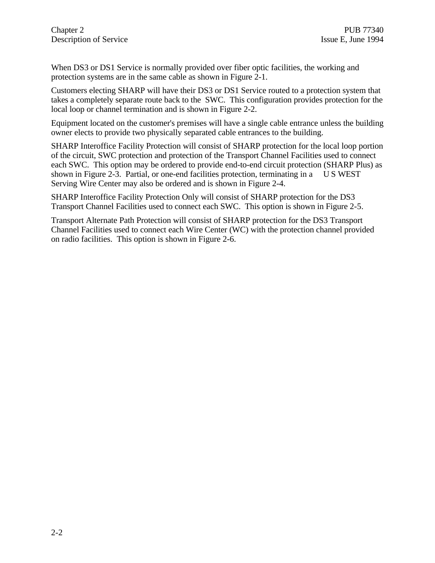When DS3 or DS1 Service is normally provided over fiber optic facilities, the working and protection systems are in the same cable as shown in Figure 2-1.

Customers electing SHARP will have their DS3 or DS1 Service routed to a protection system that takes a completely separate route back to the SWC. This configuration provides protection for the local loop or channel termination and is shown in Figure 2-2.

Equipment located on the customer's premises will have a single cable entrance unless the building owner elects to provide two physically separated cable entrances to the building.

SHARP Interoffice Facility Protection will consist of SHARP protection for the local loop portion of the circuit, SWC protection and protection of the Transport Channel Facilities used to connect each SWC. This option may be ordered to provide end-to-end circuit protection (SHARP Plus) as shown in Figure 2-3. Partial, or one-end facilities protection, terminating in a U S WEST Serving Wire Center may also be ordered and is shown in Figure 2-4.

SHARP Interoffice Facility Protection Only will consist of SHARP protection for the DS3 Transport Channel Facilities used to connect each SWC. This option is shown in Figure 2-5.

Transport Alternate Path Protection will consist of SHARP protection for the DS3 Transport Channel Facilities used to connect each Wire Center (WC) with the protection channel provided on radio facilities. This option is shown in Figure 2-6.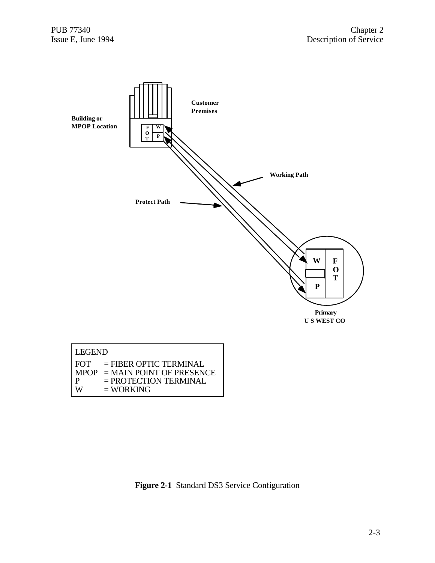

**Figure 2-1** Standard DS3 Service Configuration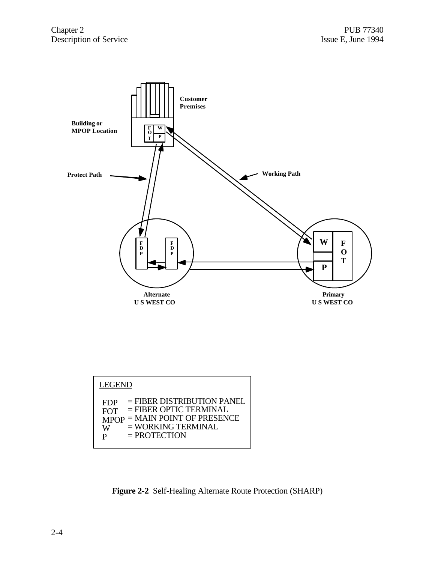

| <b>FIJF</b> | $-1$ identified the fight is $1.1$ |
|-------------|------------------------------------|
| <b>FOT</b>  | $=$ FIBER OPTIC TERMINAL           |
|             | $MPOP = MAIN POINT OF PRESENCE$    |
| W           | $=$ WORKING TERMINAL               |
| P           | $=$ PROTECTION                     |
|             |                                    |

**Figure 2-2** Self-Healing Alternate Route Protection (SHARP)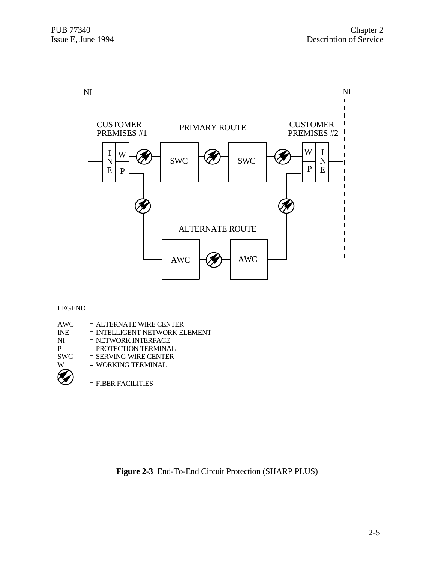

**Figure 2-3** End-To-End Circuit Protection (SHARP PLUS)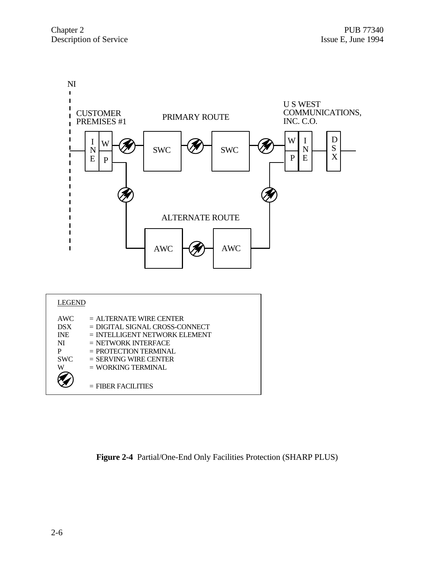

| AWC.       | $=$ ALTERNATE WIRE CENTER        |
|------------|----------------------------------|
| <b>DSX</b> | $=$ DIGITAL SIGNAL CROSS-CONNECT |
| <b>INE</b> | $=$ INTELLIGENT NETWORK ELEMENT  |
| NI         | $=$ NETWORK INTERFACE            |
| P          | $=$ PROTECTION TERMINAL.         |
| <b>SWC</b> | $=$ SERVING WIRE CENTER          |
| W          | $=$ WORKING TERMINAL             |
|            |                                  |
|            | $=$ FIBER FACILITIES             |
|            |                                  |

**Figure 2-4** Partial/One-End Only Facilities Protection (SHARP PLUS)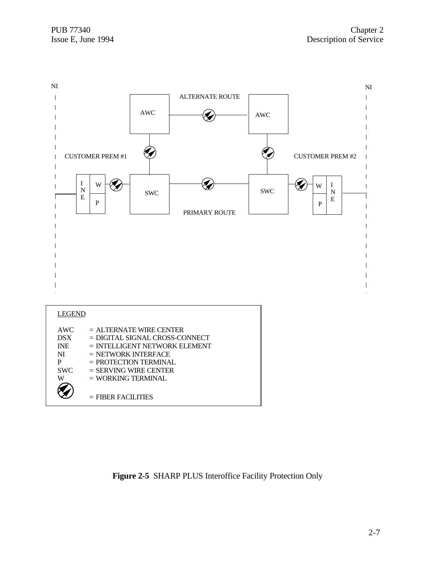

**Figure 2-5** SHARP PLUS Interoffice Facility Protection Only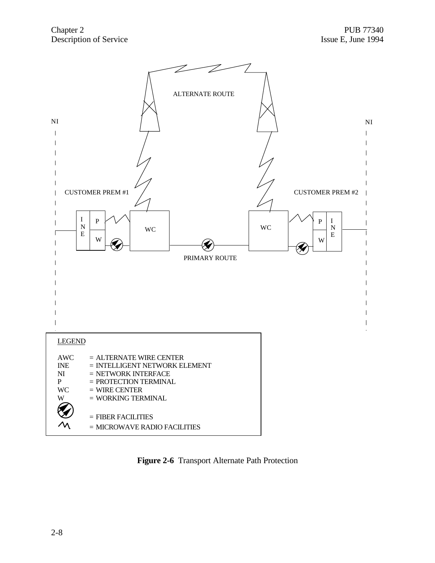

**Figure 2-6** Transport Alternate Path Protection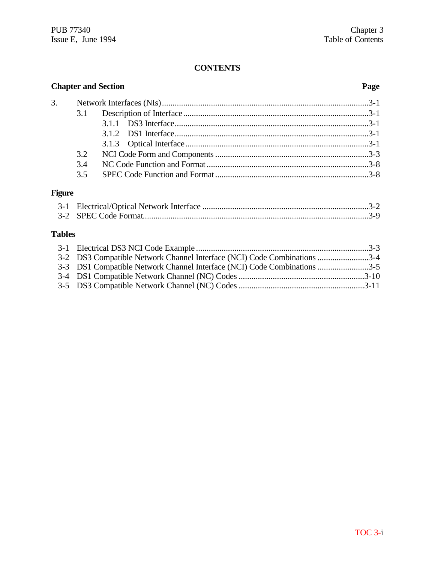# **CONTENTS**

| <b>Chapter and Section</b> |     | Page |  |
|----------------------------|-----|------|--|
| 3.                         |     |      |  |
|                            |     |      |  |
|                            |     |      |  |
|                            |     |      |  |
|                            |     |      |  |
|                            | 3.2 |      |  |
|                            | 3.4 |      |  |
|                            | 3.5 |      |  |

# **Figure**

# **Tables**

| 3-2 DS3 Compatible Network Channel Interface (NCI) Code Combinations 3-4 |  |
|--------------------------------------------------------------------------|--|
| 3-3 DS1 Compatible Network Channel Interface (NCI) Code Combinations 3-5 |  |
|                                                                          |  |
|                                                                          |  |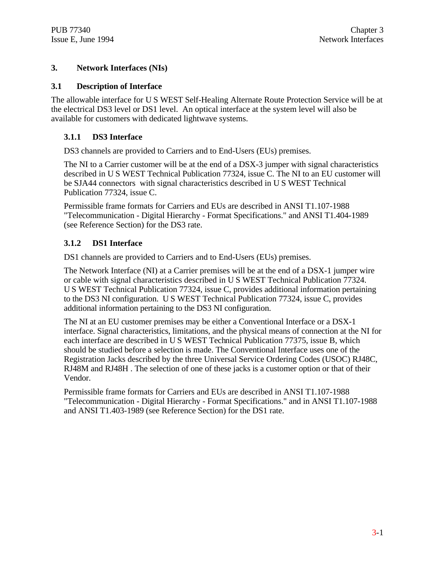#### **3. Network Interfaces (NIs)**

#### **3.1 Description of Interface**

The allowable interface for U S WEST Self-Healing Alternate Route Protection Service will be at the electrical DS3 level or DS1 level. An optical interface at the system level will also be available for customers with dedicated lightwave systems.

## **3.1.1 DS3 Interface**

DS3 channels are provided to Carriers and to End-Users (EUs) premises.

The NI to a Carrier customer will be at the end of a DSX-3 jumper with signal characteristics described in U S WEST Technical Publication 77324, issue C. The NI to an EU customer will be SJA44 connectors with signal characteristics described in U S WEST Technical Publication 77324, issue C.

Permissible frame formats for Carriers and EUs are described in ANSI T1.107-1988 "Telecommunication - Digital Hierarchy - Format Specifications." and ANSI T1.404-1989 (see Reference Section) for the DS3 rate.

# **3.1.2 DS1 Interface**

DS1 channels are provided to Carriers and to End-Users (EUs) premises.

The Network Interface (NI) at a Carrier premises will be at the end of a DSX-1 jumper wire or cable with signal characteristics described in U S WEST Technical Publication 77324. U S WEST Technical Publication 77324, issue C, provides additional information pertaining to the DS3 NI configuration. U S WEST Technical Publication 77324, issue C, provides additional information pertaining to the DS3 NI configuration.

The NI at an EU customer premises may be either a Conventional Interface or a DSX-1 interface. Signal characteristics, limitations, and the physical means of connection at the NI for each interface are described in U S WEST Technical Publication 77375, issue B, which should be studied before a selection is made. The Conventional Interface uses one of the Registration Jacks described by the three Universal Service Ordering Codes (USOC) RJ48C, RJ48M and RJ48H . The selection of one of these jacks is a customer option or that of their Vendor.

Permissible frame formats for Carriers and EUs are described in ANSI T1.107-1988 "Telecommunication - Digital Hierarchy - Format Specifications." and in ANSI T1.107-1988 and ANSI T1.403-1989 (see Reference Section) for the DS1 rate.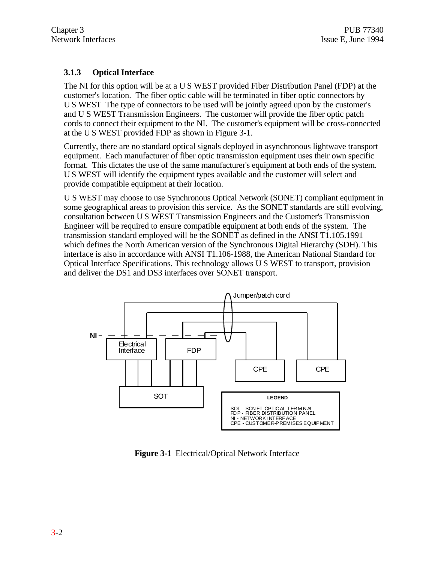# **3.1.3 Optical Interface**

The NI for this option will be at a U S WEST provided Fiber Distribution Panel (FDP) at the customer's location. The fiber optic cable will be terminated in fiber optic connectors by U S WEST The type of connectors to be used will be jointly agreed upon by the customer's and U S WEST Transmission Engineers. The customer will provide the fiber optic patch cords to connect their equipment to the NI. The customer's equipment will be cross-connected at the U S WEST provided FDP as shown in Figure 3-1.

Currently, there are no standard optical signals deployed in asynchronous lightwave transport equipment. Each manufacturer of fiber optic transmission equipment uses their own specific format. This dictates the use of the same manufacturer's equipment at both ends of the system. U S WEST will identify the equipment types available and the customer will select and provide compatible equipment at their location.

U S WEST may choose to use Synchronous Optical Network (SONET) compliant equipment in some geographical areas to provision this service. As the SONET standards are still evolving, consultation between U S WEST Transmission Engineers and the Customer's Transmission Engineer will be required to ensure compatible equipment at both ends of the system. The transmission standard employed will be the SONET as defined in the ANSI T1.105.1991 which defines the North American version of the Synchronous Digital Hierarchy (SDH). This interface is also in accordance with ANSI T1.106-1988, the American National Standard for Optical Interface Specifications. This technology allows U S WEST to transport, provision and deliver the DS1 and DS3 interfaces over SONET transport.



**Figure 3-1** Electrical/Optical Network Interface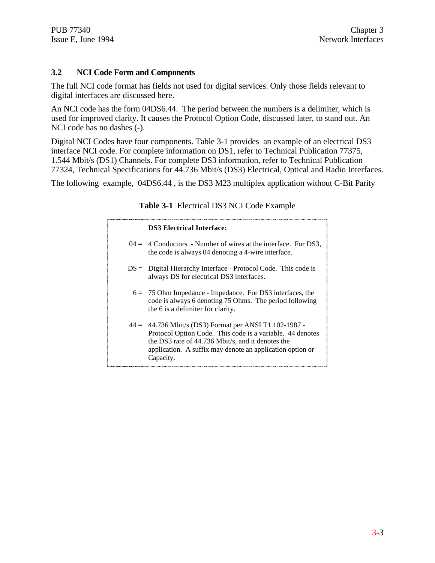## **3.2 NCI Code Form and Components**

The full NCI code format has fields not used for digital services. Only those fields relevant to digital interfaces are discussed here.

An NCI code has the form 04DS6.44. The period between the numbers is a delimiter, which is used for improved clarity. It causes the Protocol Option Code, discussed later, to stand out. An NCI code has no dashes (-).

Digital NCI Codes have four components. Table 3-1 provides an example of an electrical DS3 interface NCI code. For complete information on DS1, refer to Technical Publication 77375, 1.544 Mbit/s (DS1) Channels. For complete DS3 information, refer to Technical Publication 77324, Technical Specifications for 44.736 Mbit/s (DS3) Electrical, Optical and Radio Interfaces.

The following example, 04DS6.44 , is the DS3 M23 multiplex application without C-Bit Parity

| <b>DS3</b> Electrical Interface:                                                                                                                                                                                                                     |
|------------------------------------------------------------------------------------------------------------------------------------------------------------------------------------------------------------------------------------------------------|
| $04 = 4$ Conductors - Number of wires at the interface. For DS3,<br>the code is always 04 denoting a 4-wire interface.                                                                                                                               |
| $DS =$ Digital Hierarchy Interface - Protocol Code. This code is<br>always DS for electrical DS3 interfaces.                                                                                                                                         |
| $6 = 75$ Ohm Impedance - Impedance. For DS3 interfaces, the<br>code is always 6 denoting 75 Ohms. The period following<br>the 6 is a delimiter for clarity.                                                                                          |
| $44 = 44.736$ Mbit/s (DS3) Format per ANSI T1.102-1987 -<br>Protocol Option Code. This code is a variable. 44 denotes<br>the DS3 rate of 44.736 Mbit/s, and it denotes the<br>application. A suffix may denote an application option or<br>Capacity. |

## **Table 3-1** Electrical DS3 NCI Code Example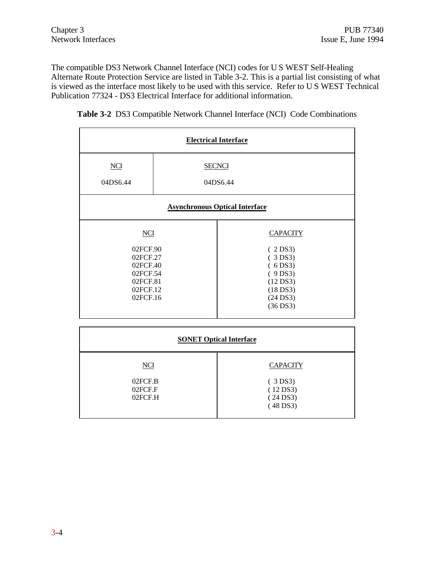The compatible DS3 Network Channel Interface (NCI) codes for U S WEST Self-Healing Alternate Route Protection Service are listed in Table 3-2. This is a partial list consisting of what is viewed as the interface most likely to be used with this service. Refer to U S WEST Technical Publication 77324 - DS3 Electrical Interface for additional information.

| <b>Electrical Interface</b>                                                                    |                           |                                                                                                                         |  |  |
|------------------------------------------------------------------------------------------------|---------------------------|-------------------------------------------------------------------------------------------------------------------------|--|--|
| <b>NCI</b><br>04DS6.44                                                                         | <b>SECNCI</b><br>04DS6.44 |                                                                                                                         |  |  |
| <b>Asynchronous Optical Interface</b>                                                          |                           |                                                                                                                         |  |  |
| <b>NCI</b><br>02FCF.90<br>02FCF.27<br>02FCF.40<br>02FCF.54<br>02FCF.81<br>02FCF.12<br>02FCF.16 |                           | <b>CAPACITY</b><br>(2DS3)<br>(3DS3)<br>(6DS3)<br>(9DS3)<br>$(12\,\text{DS}3)$<br>$(18$ DS3)<br>$(24$ DS3)<br>$(36$ DS3) |  |  |

**Table 3-2** DS3 Compatible Network Channel Interface (NCI) Code Combinations

| <b>SONET Optical Interface</b> |                                         |  |  |
|--------------------------------|-----------------------------------------|--|--|
| NCI                            | <b>CAPACITY</b>                         |  |  |
| 02FCF.B<br>02FCF.F<br>02FCF.H  | (3DS3)<br>(12DS3)<br>(24DS3)<br>(48DS3) |  |  |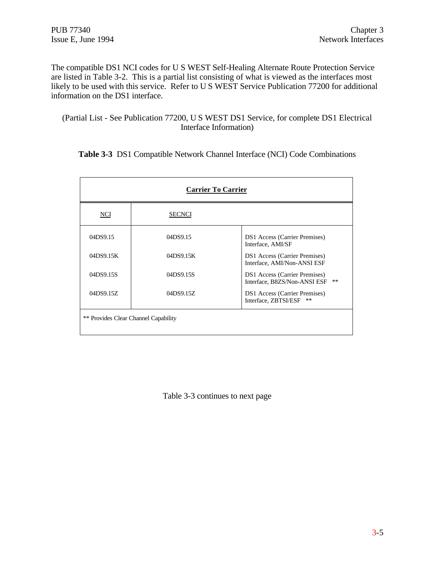The compatible DS1 NCI codes for U S WEST Self-Healing Alternate Route Protection Service are listed in Table 3-2. This is a partial list consisting of what is viewed as the interfaces most likely to be used with this service. Refer to U S WEST Service Publication 77200 for additional information on the DS1 interface.

(Partial List - See Publication 77200, U S WEST DS1 Service, for complete DS1 Electrical Interface Information)

**Table 3-3** DS1 Compatible Network Channel Interface (NCI) Code Combinations

| <b>Carrier To Carrier</b>            |               |                                                                              |  |  |
|--------------------------------------|---------------|------------------------------------------------------------------------------|--|--|
| NCI                                  | <b>SECNCI</b> |                                                                              |  |  |
| 04DS9.15                             | 04DS9.15      | <b>DS1</b> Access (Carrier Premises)<br>Interface, AMI/SF                    |  |  |
| 04DS9.15K                            | 04DS9.15K     | <b>DS1</b> Access (Carrier Premises)<br>Interface, AMI/Non-ANSI ESF          |  |  |
| 04DS9.15S                            | 04DS9.15S     | <b>DS1</b> Access (Carrier Premises)<br>$**$<br>Interface, B8ZS/Non-ANSI ESF |  |  |
| 04DS9.15Z                            | 04DS9.15Z     | <b>DS1</b> Access (Carrier Premises)<br>$***$<br>Interface, ZBTSI/ESF        |  |  |
| ** Provides Clear Channel Capability |               |                                                                              |  |  |

Table 3-3 continues to next page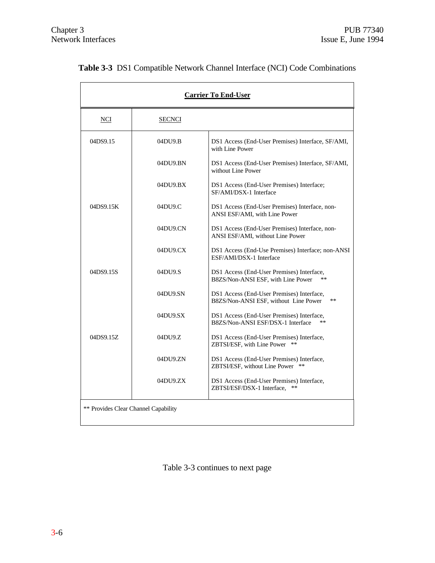| <b>Carrier To End-User</b>           |                 |                                                                                            |  |  |
|--------------------------------------|-----------------|--------------------------------------------------------------------------------------------|--|--|
| <b>NCI</b>                           | <b>SECNCI</b>   |                                                                                            |  |  |
| 04DS9.15                             | 04DU9.B         | DS1 Access (End-User Premises) Interface, SF/AMI,<br>with Line Power                       |  |  |
|                                      | 04DU9.BN        | DS1 Access (End-User Premises) Interface, SF/AMI,<br>without Line Power                    |  |  |
|                                      | 04DU9.BX        | DS1 Access (End-User Premises) Interface;<br>SF/AMI/DSX-1 Interface                        |  |  |
| 04DS9.15K                            | 04DU9.C         | DS1 Access (End-User Premises) Interface, non-<br>ANSI ESF/AMI, with Line Power            |  |  |
|                                      | 04DU9.CN        | DS1 Access (End-User Premises) Interface, non-<br>ANSI ESF/AMI, without Line Power         |  |  |
|                                      | $04D$ U $9$ .CX | DS1 Access (End-Use Premises) Interface; non-ANSI<br>ESF/AMI/DSX-1 Interface               |  |  |
| 04DS9.15S                            | 04DU9.S         | DS1 Access (End-User Premises) Interface,<br>B8ZS/Non-ANSI ESF, with Line Power            |  |  |
|                                      | 04DU9.SN        | DS1 Access (End-User Premises) Interface,<br>B8ZS/Non-ANSI ESF, without Line Power<br>$**$ |  |  |
|                                      | 04DU9.SX        | DS1 Access (End-User Premises) Interface,<br>B8ZS/Non-ANSI ESF/DSX-1 Interface             |  |  |
| 04DS9.15Z                            | 04DU9.Z         | DS1 Access (End-User Premises) Interface,<br>ZBTSI/ESF, with Line Power<br>**              |  |  |
|                                      | 04DU9.ZN        | DS1 Access (End-User Premises) Interface,<br>ZBTSI/ESF, without Line Power                 |  |  |
|                                      | 04DU9.ZX        | DS1 Access (End-User Premises) Interface,<br>ZBTSI/ESF/DSX-1 Interface.<br>$**$            |  |  |
| ** Provides Clear Channel Capability |                 |                                                                                            |  |  |

# **Table 3-3** DS1 Compatible Network Channel Interface (NCI) Code Combinations

Table 3-3 continues to next page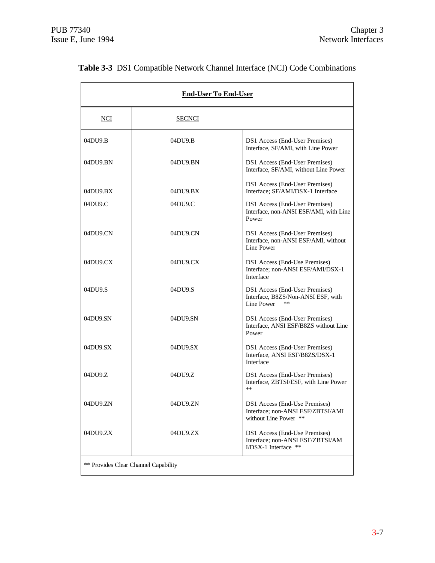| <b>End-User To End-User</b>          |               |                                                                                             |  |  |
|--------------------------------------|---------------|---------------------------------------------------------------------------------------------|--|--|
| NCI                                  | <b>SECNCI</b> |                                                                                             |  |  |
| 04DU9.B                              | 04DU9.B       | DS1 Access (End-User Premises)<br>Interface, SF/AMI, with Line Power                        |  |  |
| 04DU9.BN                             | 04DU9.BN      | DS1 Access (End-User Premises)<br>Interface, SF/AMI, without Line Power                     |  |  |
| 04DU9.BX                             | 04DU9.BX      | DS1 Access (End-User Premises)<br>Interface; SF/AMI/DSX-1 Interface                         |  |  |
| 04DU9.C                              | 04DU9.C       | DS1 Access (End-User Premises)<br>Interface, non-ANSI ESF/AMI, with Line<br>Power           |  |  |
| $04$ DU9.CN                          | 04DU9.CN      | DS1 Access (End-User Premises)<br>Interface, non-ANSI ESF/AMI, without<br>Line Power        |  |  |
| 04DU9.CX                             | 04DU9.CX      | DS1 Access (End-Use Premises)<br>Interface; non-ANSI ESF/AMI/DSX-1<br>Interface             |  |  |
| 04DU9.S                              | 04DU9.S       | DS1 Access (End-User Premises)<br>Interface, B8ZS/Non-ANSI ESF, with<br>Line Power<br>$**$  |  |  |
| 04DU9.SN                             | 04DU9.SN      | DS1 Access (End-User Premises)<br>Interface, ANSI ESF/B8ZS without Line<br>Power            |  |  |
| 04DU9.SX                             | 04DU9.SX      | DS1 Access (End-User Premises)<br>Interface, ANSI ESF/B8ZS/DSX-1<br>Interface               |  |  |
| 04DU9.Z                              | 04DU9.Z       | DS1 Access (End-User Premises)<br>Interface, ZBTSI/ESF, with Line Power<br>$**$             |  |  |
| 04DU9.ZN                             | 04DU9.ZN      | DS1 Access (End-Use Premises)<br>Interface; non-ANSI ESF/ZBTSI/AMI<br>without Line Power ** |  |  |
| 04DU9.ZX                             | 04DU9.ZX      | DS1 Access (End-Use Premises)<br>Interface; non-ANSI ESF/ZBTSI/AM<br>I/DSX-1 Interface **   |  |  |
| ** Provides Clear Channel Capability |               |                                                                                             |  |  |

# **Table 3-3** DS1 Compatible Network Channel Interface (NCI) Code Combinations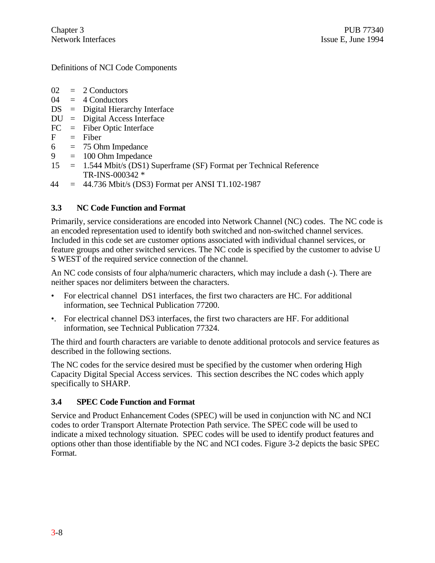Definitions of NCI Code Components

- $02 = 2$  Conductors
- $04 = 4$  Conductors
- DS = Digital Hierarchy Interface
- $DU =$  Digital Access Interface
- FC = Fiber Optic Interface
- $F =$ Fiber
- $6 = 75$  Ohm Impedance
- 9 = 100 Ohm Impedance
- 15 = 1.544 Mbit/s (DS1) Superframe (SF) Format per Technical Reference TR-INS-000342 \*
- $44 = 44.736$  Mbit/s (DS3) Format per ANSI T1.102-1987

# **3.3 NC Code Function and Format**

Primarily, service considerations are encoded into Network Channel (NC) codes. The NC code is an encoded representation used to identify both switched and non-switched channel services. Included in this code set are customer options associated with individual channel services, or feature groups and other switched services. The NC code is specified by the customer to advise U S WEST of the required service connection of the channel.

An NC code consists of four alpha/numeric characters, which may include a dash (-). There are neither spaces nor delimiters between the characters.

- For electrical channel DS1 interfaces, the first two characters are HC. For additional information, see Technical Publication 77200.
- •. For electrical channel DS3 interfaces, the first two characters are HF. For additional information, see Technical Publication 77324.

The third and fourth characters are variable to denote additional protocols and service features as described in the following sections.

The NC codes for the service desired must be specified by the customer when ordering High Capacity Digital Special Access services. This section describes the NC codes which apply specifically to SHARP.

## **3.4 SPEC Code Function and Format**

Service and Product Enhancement Codes (SPEC) will be used in conjunction with NC and NCI codes to order Transport Alternate Protection Path service. The SPEC code will be used to indicate a mixed technology situation. SPEC codes will be used to identify product features and options other than those identifiable by the NC and NCI codes. Figure 3-2 depicts the basic SPEC Format.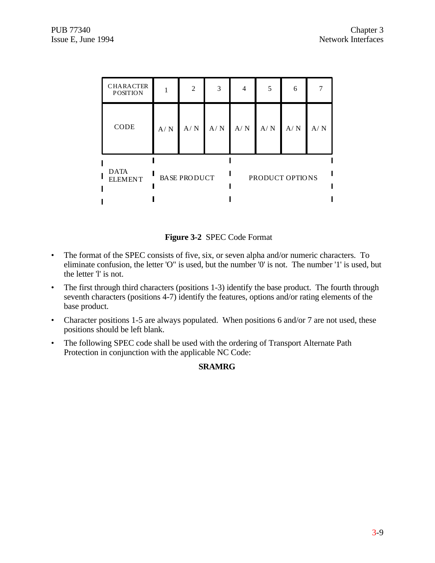| <b>CHARACTER</b><br><b>POSITION</b> |                     | $\mathfrak{D}$ | 3   | 4               | 5   | 6   |     |
|-------------------------------------|---------------------|----------------|-----|-----------------|-----|-----|-----|
| CODE                                | A/N                 | A/N            | A/N | A/N             | A/N | A/N | A/N |
| <b>DATA</b><br><b>ELEMENT</b>       | <b>BASE PRODUCT</b> |                |     | PRODUCT OPTIONS |     |     |     |



- The format of the SPEC consists of five, six, or seven alpha and/or numeric characters. To eliminate confusion, the letter 'O" is used, but the number '0' is not. The number '1' is used, but the letter 'l' is not.
- The first through third characters (positions 1-3) identify the base product. The fourth through seventh characters (positions 4-7) identify the features, options and/or rating elements of the base product.
- Character positions 1-5 are always populated. When positions 6 and/or 7 are not used, these positions should be left blank.
- The following SPEC code shall be used with the ordering of Transport Alternate Path Protection in conjunction with the applicable NC Code:

## **SRAMRG**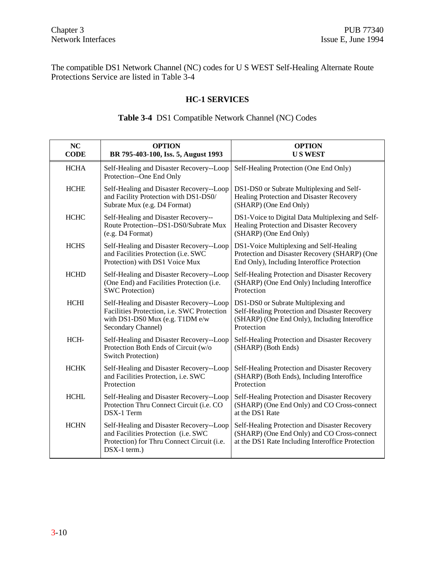The compatible DS1 Network Channel (NC) codes for U S WEST Self-Healing Alternate Route Protections Service are listed in Table 3-4

#### **HC-1 SERVICES**

| NC<br><b>CODE</b> | <b>OPTION</b><br>BR 795-403-100, Iss. 5, August 1993                                                                                              | <b>OPTION</b><br><b>US WEST</b>                                                                                                                     |
|-------------------|---------------------------------------------------------------------------------------------------------------------------------------------------|-----------------------------------------------------------------------------------------------------------------------------------------------------|
| <b>HCHA</b>       | Self-Healing and Disaster Recovery--Loop<br>Protection--One End Only                                                                              | Self-Healing Protection (One End Only)                                                                                                              |
| <b>HCHE</b>       | Self-Healing and Disaster Recovery--Loop<br>and Facility Protection with DS1-DS0/<br>Subrate Mux (e.g. D4 Format)                                 | DS1-DS0 or Subrate Multiplexing and Self-<br>Healing Protection and Disaster Recovery<br>(SHARP) (One End Only)                                     |
| <b>HCHC</b>       | Self-Healing and Disaster Recovery--<br>Route Protection--DS1-DS0/Subrate Mux<br>$(e.g. D4$ Format)                                               | DS1-Voice to Digital Data Multiplexing and Self-<br>Healing Protection and Disaster Recovery<br>(SHARP) (One End Only)                              |
| <b>HCHS</b>       | Self-Healing and Disaster Recovery--Loop<br>and Facilities Protection (i.e. SWC<br>Protection) with DS1 Voice Mux                                 | DS1-Voice Multiplexing and Self-Healing<br>Protection and Disaster Recovery (SHARP) (One<br>End Only), Including Interoffice Protection             |
| <b>HCHD</b>       | Self-Healing and Disaster Recovery--Loop<br>(One End) and Facilities Protection (i.e.<br><b>SWC Protection</b> )                                  | Self-Healing Protection and Disaster Recovery<br>(SHARP) (One End Only) Including Interoffice<br>Protection                                         |
| <b>HCHI</b>       | Self-Healing and Disaster Recovery--Loop<br>Facilities Protection, i.e. SWC Protection<br>with $DS1-DS0$ Mux (e.g. T1DM e/w<br>Secondary Channel) | DS1-DS0 or Subrate Multiplexing and<br>Self-Healing Protection and Disaster Recovery<br>(SHARP) (One End Only), Including Interoffice<br>Protection |
| HCH-              | Self-Healing and Disaster Recovery--Loop<br>Protection Both Ends of Circuit (w/o<br><b>Switch Protection</b> )                                    | Self-Healing Protection and Disaster Recovery<br>(SHARP) (Both Ends)                                                                                |
| <b>HCHK</b>       | Self-Healing and Disaster Recovery--Loop<br>and Facilities Protection, i.e. SWC<br>Protection                                                     | Self-Healing Protection and Disaster Recovery<br>(SHARP) (Both Ends), Including Interoffice<br>Protection                                           |
| нсні              |                                                                                                                                                   | Self Healing and Disaster Recovery Loop Self Healing Protection and Disaster Recovery                                                               |

#### **Table 3-4** DS1 Compatible Network Channel (NC) Codes

HCHL Self-Healing and Disaster Recovery--Loop Protection Thru Connect Circuit (i.e. CO DSX-1 Term Self-Healing Protection and Disaster Recovery (SHARP) (One End Only) and CO Cross-connect at the DS1 Rate HCHN Self-Healing and Disaster Recovery--Loop and Facilities Protection (i.e. SWC Protection) for Thru Connect Circuit (i.e. DSX-1 term.) Self-Healing Protection and Disaster Recovery (SHARP) (One End Only) and CO Cross-connect at the DS1 Rate Including Interoffice Protection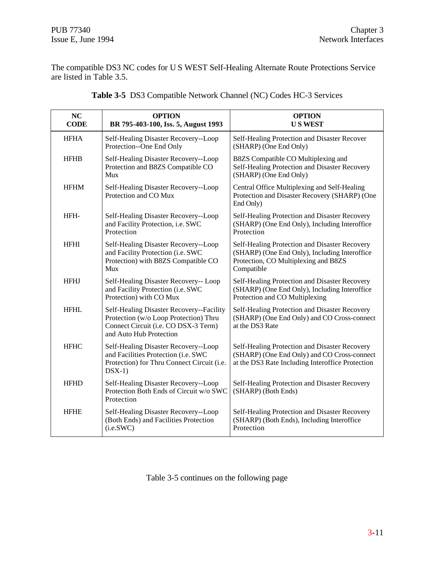The compatible DS3 NC codes for U S WEST Self-Healing Alternate Route Protections Service are listed in Table 3.5.

| <b>NC</b><br><b>CODE</b> | <b>OPTION</b><br>BR 795-403-100, Iss. 5, August 1993                                                                                                 | <b>OPTION</b><br><b>US WEST</b>                                                                                                                      |
|--------------------------|------------------------------------------------------------------------------------------------------------------------------------------------------|------------------------------------------------------------------------------------------------------------------------------------------------------|
| <b>HFHA</b>              | Self-Healing Disaster Recovery--Loop<br>Protection--One End Only                                                                                     | Self-Healing Protection and Disaster Recover<br>(SHARP) (One End Only)                                                                               |
| <b>HFHB</b>              | Self-Healing Disaster Recovery--Loop<br>Protection and B8ZS Compatible CO<br>Mux                                                                     | B8ZS Compatible CO Multiplexing and<br>Self-Healing Protection and Disaster Recovery<br>(SHARP) (One End Only)                                       |
| <b>HFHM</b>              | Self-Healing Disaster Recovery--Loop<br>Protection and CO Mux                                                                                        | Central Office Multiplexing and Self-Healing<br>Protection and Disaster Recovery (SHARP) (One<br>End Only)                                           |
| HFH-                     | Self-Healing Disaster Recovery--Loop<br>and Facility Protection, i.e. SWC<br>Protection                                                              | Self-Healing Protection and Disaster Recovery<br>(SHARP) (One End Only), Including Interoffice<br>Protection                                         |
| <b>HFHI</b>              | Self-Healing Disaster Recovery--Loop<br>and Facility Protection (i.e. SWC<br>Protection) with B8ZS Compatible CO<br>Mux                              | Self-Healing Protection and Disaster Recovery<br>(SHARP) (One End Only), Including Interoffice<br>Protection, CO Multiplexing and B8ZS<br>Compatible |
| <b>HFHJ</b>              | Self-Healing Disaster Recovery-- Loop<br>and Facility Protection (i.e. SWC<br>Protection) with CO Mux                                                | Self-Healing Protection and Disaster Recovery<br>(SHARP) (One End Only), Including Interoffice<br>Protection and CO Multiplexing                     |
| <b>HFHL</b>              | Self-Healing Disaster Recovery--Facility<br>Protection (w/o Loop Protection) Thru<br>Connect Circuit (i.e. CO DSX-3 Term)<br>and Auto Hub Protection | Self-Healing Protection and Disaster Recovery<br>(SHARP) (One End Only) and CO Cross-connect<br>at the DS3 Rate                                      |
| <b>HFHC</b>              | Self-Healing Disaster Recovery--Loop<br>and Facilities Protection (i.e. SWC<br>Protection) for Thru Connect Circuit (i.e.<br>$DSX-1)$                | Self-Healing Protection and Disaster Recovery<br>(SHARP) (One End Only) and CO Cross-connect<br>at the DS3 Rate Including Interoffice Protection     |
| <b>HFHD</b>              | Self-Healing Disaster Recovery--Loop<br>Protection Both Ends of Circuit w/o SWC<br>Protection                                                        | Self-Healing Protection and Disaster Recovery<br>(SHARP) (Both Ends)                                                                                 |
| <b>HFHE</b>              | Self-Healing Disaster Recovery--Loop<br>(Both Ends) and Facilities Protection<br>(i.e.SWC)                                                           | Self-Healing Protection and Disaster Recovery<br>(SHARP) (Both Ends), Including Interoffice<br>Protection                                            |

|  |  |  |  |  | Table 3-5 DS3 Compatible Network Channel (NC) Codes HC-3 Services |
|--|--|--|--|--|-------------------------------------------------------------------|
|--|--|--|--|--|-------------------------------------------------------------------|

Table 3-5 continues on the following page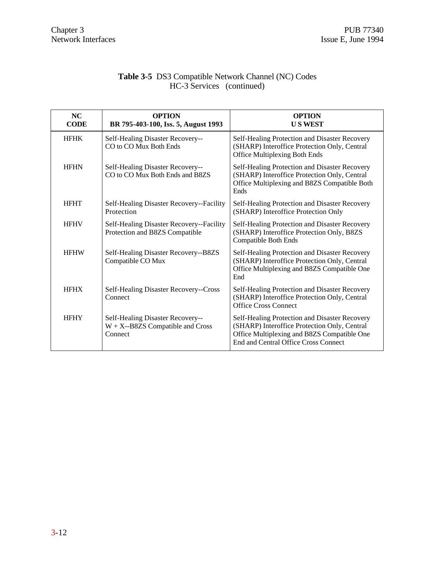#### **Table 3-5** DS3 Compatible Network Channel (NC) Codes HC-3 Services (continued)

| NC<br><b>CODE</b>                                                                  | <b>OPTION</b><br>BR 795-403-100, Iss. 5, August 1993                               | <b>OPTION</b><br><b>US WEST</b>                                                                                                                                                      |  |                                                                                                                                               |
|------------------------------------------------------------------------------------|------------------------------------------------------------------------------------|--------------------------------------------------------------------------------------------------------------------------------------------------------------------------------------|--|-----------------------------------------------------------------------------------------------------------------------------------------------|
| <b>HFHK</b>                                                                        | Self-Healing Disaster Recovery--<br>CO to CO Mux Both Ends                         | Self-Healing Protection and Disaster Recovery<br>(SHARP) Interoffice Protection Only, Central<br><b>Office Multiplexing Both Ends</b>                                                |  |                                                                                                                                               |
| <b>HFHN</b><br>Self-Healing Disaster Recovery--<br>CO to CO Mux Both Ends and B8ZS |                                                                                    | Ends                                                                                                                                                                                 |  | Self-Healing Protection and Disaster Recovery<br>(SHARP) Interoffice Protection Only, Central<br>Office Multiplexing and B8ZS Compatible Both |
| <b>HFHT</b>                                                                        | Self-Healing Disaster Recovery--Facility<br>Protection                             | Self-Healing Protection and Disaster Recovery<br>(SHARP) Interoffice Protection Only                                                                                                 |  |                                                                                                                                               |
| <b>HFHV</b>                                                                        | Self-Healing Disaster Recovery--Facility<br>Protection and B8ZS Compatible         | Self-Healing Protection and Disaster Recovery<br>(SHARP) Interoffice Protection Only, B8ZS<br><b>Compatible Both Ends</b>                                                            |  |                                                                                                                                               |
| <b>HFHW</b>                                                                        | Self-Healing Disaster Recovery--B8ZS<br>Compatible CO Mux                          | Self-Healing Protection and Disaster Recovery<br>(SHARP) Interoffice Protection Only, Central<br>Office Multiplexing and B8ZS Compatible One<br>End                                  |  |                                                                                                                                               |
| <b>HFHX</b>                                                                        | Self-Healing Disaster Recovery--Cross<br>Connect                                   | Self-Healing Protection and Disaster Recovery<br>(SHARP) Interoffice Protection Only, Central<br><b>Office Cross Connect</b>                                                         |  |                                                                                                                                               |
| <b>HFHY</b>                                                                        | Self-Healing Disaster Recovery--<br>$W + X - B8ZS$ Compatible and Cross<br>Connect | Self-Healing Protection and Disaster Recovery<br>(SHARP) Interoffice Protection Only, Central<br>Office Multiplexing and B8ZS Compatible One<br>End and Central Office Cross Connect |  |                                                                                                                                               |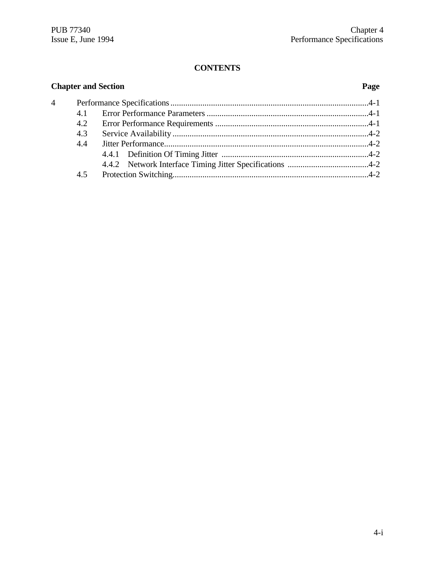# **CONTENTS**

| <b>Chapter and Section</b> |     | Page |  |
|----------------------------|-----|------|--|
| $\overline{4}$             |     |      |  |
|                            | 4.1 |      |  |
|                            | 4.2 |      |  |
|                            | 4.3 |      |  |
|                            | 4.4 |      |  |
|                            |     |      |  |
|                            |     |      |  |
|                            | 4.5 |      |  |
|                            |     |      |  |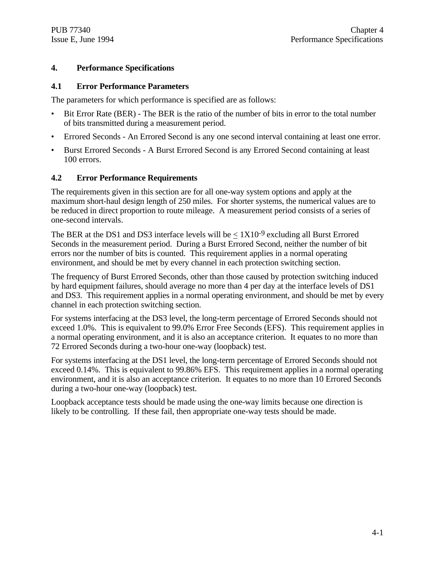#### **4. Performance Specifications**

#### **4.1 Error Performance Parameters**

The parameters for which performance is specified are as follows:

- Bit Error Rate (BER) The BER is the ratio of the number of bits in error to the total number of bits transmitted during a measurement period.
- Errored Seconds An Errored Second is any one second interval containing at least one error.
- Burst Errored Seconds A Burst Errored Second is any Errored Second containing at least 100 errors.

#### **4.2 Error Performance Requirements**

The requirements given in this section are for all one-way system options and apply at the maximum short-haul design length of 250 miles. For shorter systems, the numerical values are to be reduced in direct proportion to route mileage. A measurement period consists of a series of one-second intervals.

The BER at the DS1 and DS3 interface levels will be  $\langle 1X10^{-9}$  excluding all Burst Errored Seconds in the measurement period. During a Burst Errored Second, neither the number of bit errors nor the number of bits is counted. This requirement applies in a normal operating environment, and should be met by every channel in each protection switching section.

The frequency of Burst Errored Seconds, other than those caused by protection switching induced by hard equipment failures, should average no more than 4 per day at the interface levels of DS1 and DS3. This requirement applies in a normal operating environment, and should be met by every channel in each protection switching section.

For systems interfacing at the DS3 level, the long-term percentage of Errored Seconds should not exceed 1.0%. This is equivalent to 99.0% Error Free Seconds (EFS). This requirement applies in a normal operating environment, and it is also an acceptance criterion. It equates to no more than 72 Errored Seconds during a two-hour one-way (loopback) test.

For systems interfacing at the DS1 level, the long-term percentage of Errored Seconds should not exceed 0.14%. This is equivalent to 99.86% EFS. This requirement applies in a normal operating environment, and it is also an acceptance criterion. It equates to no more than 10 Errored Seconds during a two-hour one-way (loopback) test.

Loopback acceptance tests should be made using the one-way limits because one direction is likely to be controlling. If these fail, then appropriate one-way tests should be made.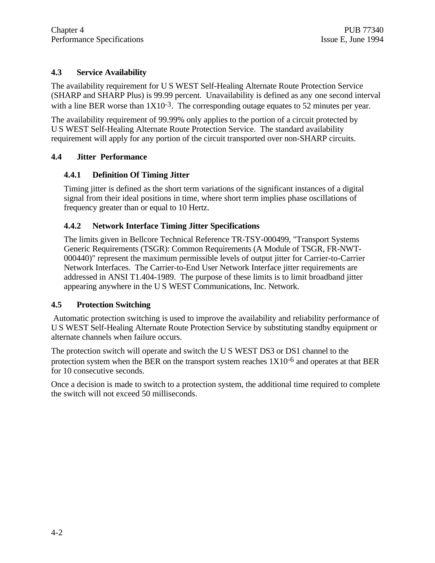# **4.3 Service Availability**

The availability requirement for U S WEST Self-Healing Alternate Route Protection Service (SHARP and SHARP Plus) is 99.99 percent. Unavailability is defined as any one second interval with a line BER worse than  $1X10^{-3}$ . The corresponding outage equates to 52 minutes per year.

The availability requirement of 99.99% only applies to the portion of a circuit protected by U S WEST Self-Healing Alternate Route Protection Service. The standard availability requirement will apply for any portion of the circuit transported over non-SHARP circuits.

# **4.4 Jitter Performance**

# **4.4.1 Definition Of Timing Jitter**

Timing jitter is defined as the short term variations of the significant instances of a digital signal from their ideal positions in time, where short term implies phase oscillations of frequency greater than or equal to 10 Hertz.

# **4.4.2 Network Interface Timing Jitter Specifications**

The limits given in Bellcore Technical Reference TR-TSY-000499, "Transport Systems Generic Requirements (TSGR): Common Requirements (A Module of TSGR, FR-NWT-000440)" represent the maximum permissible levels of output jitter for Carrier-to-Carrier Network Interfaces. The Carrier-to-End User Network Interface jitter requirements are addressed in ANSI T1.404-1989. The purpose of these limits is to limit broadband jitter appearing anywhere in the U S WEST Communications, Inc. Network.

## **4.5 Protection Switching**

 Automatic protection switching is used to improve the availability and reliability performance of U S WEST Self-Healing Alternate Route Protection Service by substituting standby equipment or alternate channels when failure occurs.

The protection switch will operate and switch the U S WEST DS3 or DS1 channel to the protection system when the BER on the transport system reaches  $1X10^{-6}$  and operates at that BER for 10 consecutive seconds.

Once a decision is made to switch to a protection system, the additional time required to complete the switch will not exceed 50 milliseconds.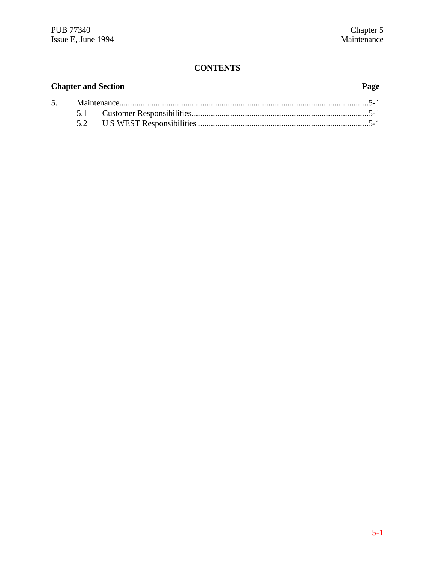# **CONTENTS**

| <b>Chapter and Section</b> |  | Page |  |
|----------------------------|--|------|--|
|                            |  |      |  |
|                            |  |      |  |
|                            |  |      |  |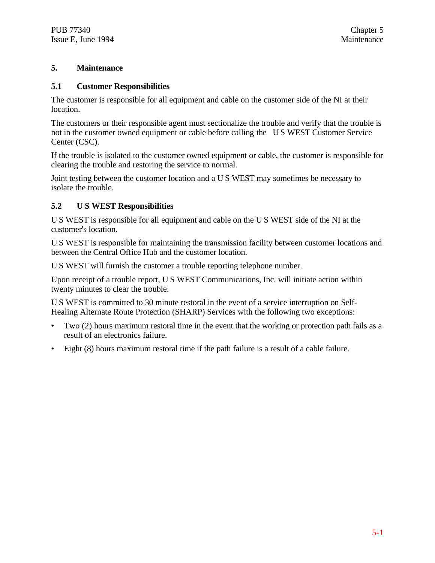#### **5. Maintenance**

#### **5.1 Customer Responsibilities**

The customer is responsible for all equipment and cable on the customer side of the NI at their location.

The customers or their responsible agent must sectionalize the trouble and verify that the trouble is not in the customer owned equipment or cable before calling the U S WEST Customer Service Center (CSC).

If the trouble is isolated to the customer owned equipment or cable, the customer is responsible for clearing the trouble and restoring the service to normal.

Joint testing between the customer location and a U S WEST may sometimes be necessary to isolate the trouble.

#### **5.2 U S WEST Responsibilities**

U S WEST is responsible for all equipment and cable on the U S WEST side of the NI at the customer's location.

U S WEST is responsible for maintaining the transmission facility between customer locations and between the Central Office Hub and the customer location.

U S WEST will furnish the customer a trouble reporting telephone number.

Upon receipt of a trouble report, U S WEST Communications, Inc. will initiate action within twenty minutes to clear the trouble.

U S WEST is committed to 30 minute restoral in the event of a service interruption on Self-Healing Alternate Route Protection (SHARP) Services with the following two exceptions:

- Two (2) hours maximum restoral time in the event that the working or protection path fails as a result of an electronics failure.
- Eight (8) hours maximum restoral time if the path failure is a result of a cable failure.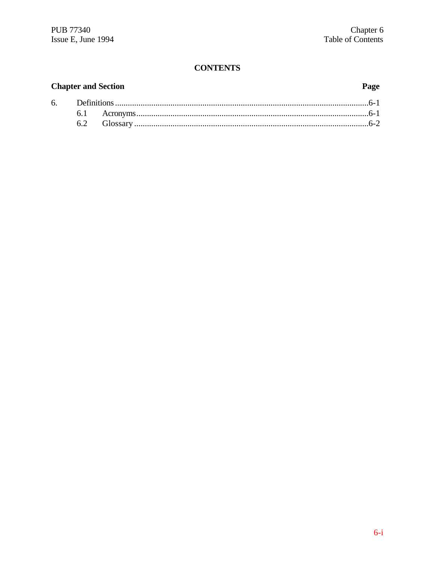# **CONTENTS**

# **Chapter and Section**

# Page

| 6. Definitions |  |  |
|----------------|--|--|
|                |  |  |
|                |  |  |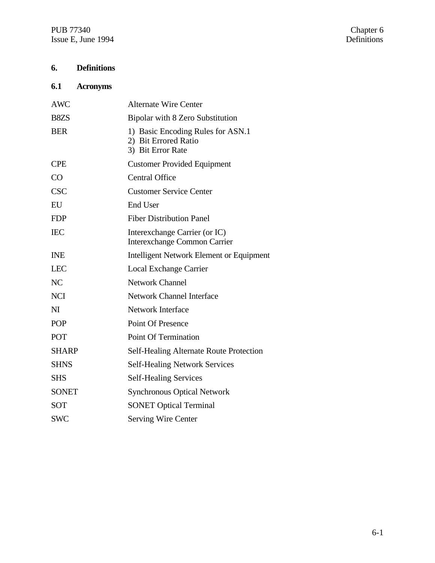PUB 77340 Chapter 6 Issue E, June 1994 Definitions

# **6. Definitions**

# **6.1 Acronyms**

| <b>AWC</b>                    | <b>Alternate Wire Center</b>                                                   |
|-------------------------------|--------------------------------------------------------------------------------|
| B <sub>8</sub> Z <sub>S</sub> | Bipolar with 8 Zero Substitution                                               |
| <b>BER</b>                    | 1) Basic Encoding Rules for ASN.1<br>2) Bit Errored Ratio<br>3) Bit Error Rate |
| <b>CPE</b>                    | <b>Customer Provided Equipment</b>                                             |
| CO                            | <b>Central Office</b>                                                          |
| <b>CSC</b>                    | <b>Customer Service Center</b>                                                 |
| EU                            | <b>End User</b>                                                                |
| <b>FDP</b>                    | <b>Fiber Distribution Panel</b>                                                |
| <b>IEC</b>                    | Interexchange Carrier (or IC)<br><b>Interexchange Common Carrier</b>           |
| <b>INE</b>                    | <b>Intelligent Network Element or Equipment</b>                                |
| <b>LEC</b>                    | <b>Local Exchange Carrier</b>                                                  |
| NC                            | <b>Network Channel</b>                                                         |
| <b>NCI</b>                    | Network Channel Interface                                                      |
| N <sub>I</sub>                | <b>Network Interface</b>                                                       |
| <b>POP</b>                    | <b>Point Of Presence</b>                                                       |
| POT                           | <b>Point Of Termination</b>                                                    |
| <b>SHARP</b>                  | Self-Healing Alternate Route Protection                                        |
| <b>SHNS</b>                   | <b>Self-Healing Network Services</b>                                           |
| <b>SHS</b>                    | <b>Self-Healing Services</b>                                                   |
| <b>SONET</b>                  | <b>Synchronous Optical Network</b>                                             |
| <b>SOT</b>                    | <b>SONET Optical Terminal</b>                                                  |
| <b>SWC</b>                    | <b>Serving Wire Center</b>                                                     |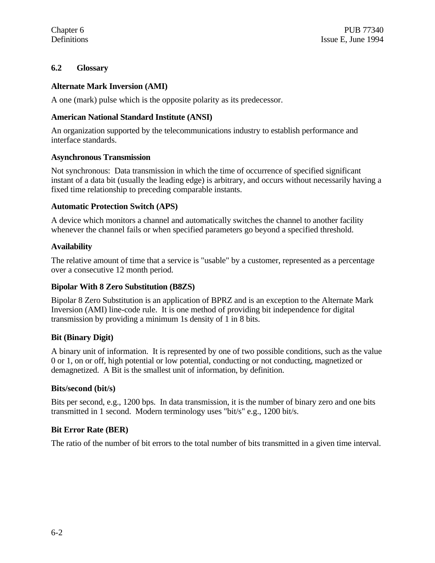## **6.2 Glossary**

#### **Alternate Mark Inversion (AMI)**

A one (mark) pulse which is the opposite polarity as its predecessor.

#### **American National Standard Institute (ANSI)**

An organization supported by the telecommunications industry to establish performance and interface standards.

#### **Asynchronous Transmission**

Not synchronous: Data transmission in which the time of occurrence of specified significant instant of a data bit (usually the leading edge) is arbitrary, and occurs without necessarily having a fixed time relationship to preceding comparable instants.

#### **Automatic Protection Switch (APS)**

A device which monitors a channel and automatically switches the channel to another facility whenever the channel fails or when specified parameters go beyond a specified threshold.

#### **Availability**

The relative amount of time that a service is "usable" by a customer, represented as a percentage over a consecutive 12 month period.

#### **Bipolar With 8 Zero Substitution (B8ZS)**

Bipolar 8 Zero Substitution is an application of BPRZ and is an exception to the Alternate Mark Inversion (AMI) line-code rule. It is one method of providing bit independence for digital transmission by providing a minimum 1s density of 1 in 8 bits.

#### **Bit (Binary Digit)**

A binary unit of information. It is represented by one of two possible conditions, such as the value 0 or 1, on or off, high potential or low potential, conducting or not conducting, magnetized or demagnetized. A Bit is the smallest unit of information, by definition.

#### **Bits/second (bit/s)**

Bits per second, e.g., 1200 bps. In data transmission, it is the number of binary zero and one bits transmitted in 1 second. Modern terminology uses "bit/s" e.g., 1200 bit/s.

## **Bit Error Rate (BER)**

The ratio of the number of bit errors to the total number of bits transmitted in a given time interval.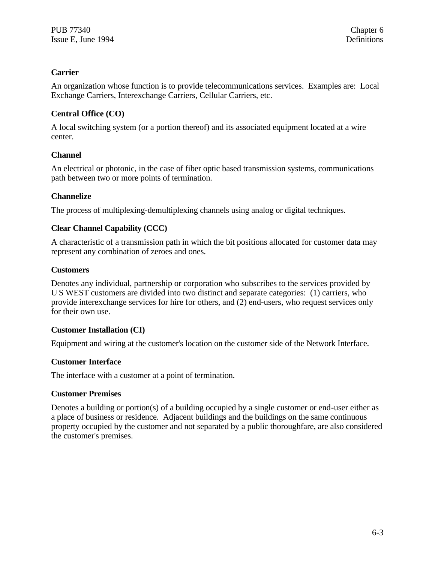# **Carrier**

An organization whose function is to provide telecommunications services. Examples are: Local Exchange Carriers, Interexchange Carriers, Cellular Carriers, etc.

# **Central Office (CO)**

A local switching system (or a portion thereof) and its associated equipment located at a wire center.

# **Channel**

An electrical or photonic, in the case of fiber optic based transmission systems, communications path between two or more points of termination.

## **Channelize**

The process of multiplexing-demultiplexing channels using analog or digital techniques.

# **Clear Channel Capability (CCC)**

A characteristic of a transmission path in which the bit positions allocated for customer data may represent any combination of zeroes and ones.

## **Customers**

Denotes any individual, partnership or corporation who subscribes to the services provided by U S WEST customers are divided into two distinct and separate categories: (1) carriers, who provide interexchange services for hire for others, and (2) end-users, who request services only for their own use.

## **Customer Installation (CI)**

Equipment and wiring at the customer's location on the customer side of the Network Interface.

## **Customer Interface**

The interface with a customer at a point of termination.

## **Customer Premises**

Denotes a building or portion(s) of a building occupied by a single customer or end-user either as a place of business or residence. Adjacent buildings and the buildings on the same continuous property occupied by the customer and not separated by a public thoroughfare, are also considered the customer's premises.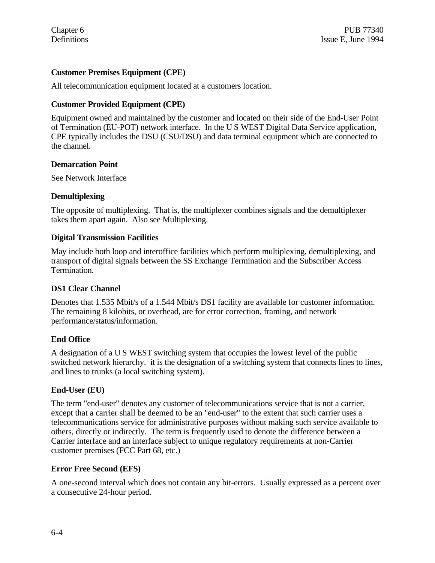# **Customer Premises Equipment (CPE)**

All telecommunication equipment located at a customers location.

# **Customer Provided Equipment (CPE)**

Equipment owned and maintained by the customer and located on their side of the End-User Point of Termination (EU-POT) network interface. In the U S WEST Digital Data Service application, CPE typically includes the DSU (CSU/DSU) and data terminal equipment which are connected to the channel.

#### **Demarcation Point**

See Network Interface

#### **Demultiplexing**

The opposite of multiplexing. That is, the multiplexer combines signals and the demultiplexer takes them apart again. Also see Multiplexing.

#### **Digital Transmission Facilities**

May include both loop and interoffice facilities which perform multiplexing, demultiplexing, and transport of digital signals between the SS Exchange Termination and the Subscriber Access Termination.

## **DS1 Clear Channel**

Denotes that 1.535 Mbit/s of a 1.544 Mbit/s DS1 facility are available for customer information. The remaining 8 kilobits, or overhead, are for error correction, framing, and network performance/status/information.

## **End Office**

A designation of a U S WEST switching system that occupies the lowest level of the public switched network hierarchy. it is the designation of a switching system that connects lines to lines, and lines to trunks (a local switching system).

## **End-User (EU)**

The term "end-user" denotes any customer of telecommunications service that is not a carrier, except that a carrier shall be deemed to be an "end-user" to the extent that such carrier uses a telecommunications service for administrative purposes without making such service available to others, directly or indirectly. The term is frequently used to denote the difference between a Carrier interface and an interface subject to unique regulatory requirements at non-Carrier customer premises (FCC Part 68, etc.)

## **Error Free Second (EFS)**

A one-second interval which does not contain any bit-errors. Usually expressed as a percent over a consecutive 24-hour period.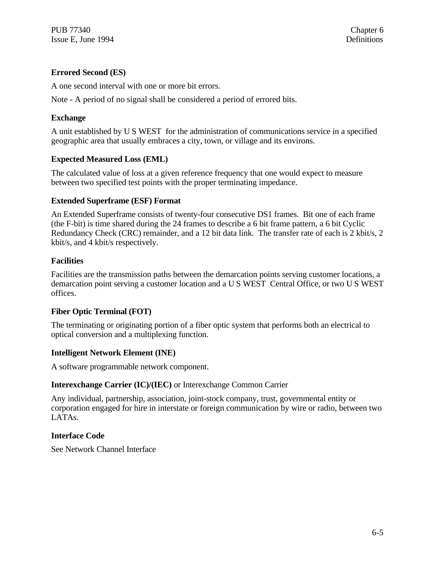# **Errored Second (ES)**

A one second interval with one or more bit errors.

Note - A period of no signal shall be considered a period of errored bits.

# **Exchange**

A unit established by U S WEST for the administration of communications service in a specified geographic area that usually embraces a city, town, or village and its environs.

# **Expected Measured Loss (EML)**

The calculated value of loss at a given reference frequency that one would expect to measure between two specified test points with the proper terminating impedance.

# **Extended Superframe (ESF) Format**

An Extended Superframe consists of twenty-four consecutive DS1 frames. Bit one of each frame (the F-bit) is time shared during the 24 frames to describe a 6 bit frame pattern, a 6 bit Cyclic Redundancy Check (CRC) remainder, and a 12 bit data link. The transfer rate of each is 2 kbit/s, 2 kbit/s, and 4 kbit/s respectively.

# **Facilities**

Facilities are the transmission paths between the demarcation points serving customer locations, a demarcation point serving a customer location and a U S WEST Central Office, or two U S WEST offices.

## **Fiber Optic Terminal (FOT)**

The terminating or originating portion of a fiber optic system that performs both an electrical to optical conversion and a multiplexing function.

## **Intelligent Network Element (INE)**

A software programmable network component.

## **Interexchange Carrier (IC)/(IEC)** or Interexchange Common Carrier

Any individual, partnership, association, joint-stock company, trust, governmental entity or corporation engaged for hire in interstate or foreign communication by wire or radio, between two LATAs.

## **Interface Code**

See Network Channel Interface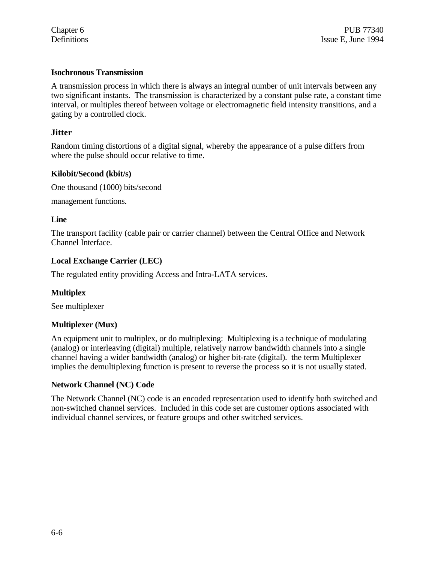#### **Isochronous Transmission**

A transmission process in which there is always an integral number of unit intervals between any two significant instants. The transmission is characterized by a constant pulse rate, a constant time interval, or multiples thereof between voltage or electromagnetic field intensity transitions, and a gating by a controlled clock.

#### **Jitter**

Random timing distortions of a digital signal, whereby the appearance of a pulse differs from where the pulse should occur relative to time.

#### **Kilobit/Second (kbit/s)**

One thousand (1000) bits/second

management functions.

#### **Line**

The transport facility (cable pair or carrier channel) between the Central Office and Network Channel Interface.

#### **Local Exchange Carrier (LEC)**

The regulated entity providing Access and Intra-LATA services.

#### **Multiplex**

See multiplexer

#### **Multiplexer (Mux)**

An equipment unit to multiplex, or do multiplexing: Multiplexing is a technique of modulating (analog) or interleaving (digital) multiple, relatively narrow bandwidth channels into a single channel having a wider bandwidth (analog) or higher bit-rate (digital). the term Multiplexer implies the demultiplexing function is present to reverse the process so it is not usually stated.

#### **Network Channel (NC) Code**

The Network Channel (NC) code is an encoded representation used to identify both switched and non-switched channel services. Included in this code set are customer options associated with individual channel services, or feature groups and other switched services.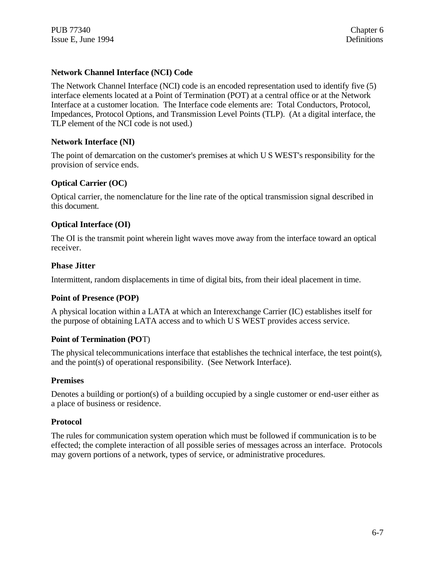#### **Network Channel Interface (NCI) Code**

The Network Channel Interface (NCI) code is an encoded representation used to identify five (5) interface elements located at a Point of Termination (POT) at a central office or at the Network Interface at a customer location. The Interface code elements are: Total Conductors, Protocol, Impedances, Protocol Options, and Transmission Level Points (TLP). (At a digital interface, the TLP element of the NCI code is not used.)

#### **Network Interface (NI)**

The point of demarcation on the customer's premises at which U S WEST's responsibility for the provision of service ends.

#### **Optical Carrier (OC)**

Optical carrier, the nomenclature for the line rate of the optical transmission signal described in this document.

#### **Optical Interface (OI)**

The OI is the transmit point wherein light waves move away from the interface toward an optical receiver.

#### **Phase Jitter**

Intermittent, random displacements in time of digital bits, from their ideal placement in time.

#### **Point of Presence (POP)**

A physical location within a LATA at which an Interexchange Carrier (IC) establishes itself for the purpose of obtaining LATA access and to which U S WEST provides access service.

#### **Point of Termination (PO**T)

The physical telecommunications interface that establishes the technical interface, the test point(s), and the point(s) of operational responsibility. (See Network Interface).

#### **Premises**

Denotes a building or portion(s) of a building occupied by a single customer or end-user either as a place of business or residence.

#### **Protocol**

The rules for communication system operation which must be followed if communication is to be effected; the complete interaction of all possible series of messages across an interface. Protocols may govern portions of a network, types of service, or administrative procedures.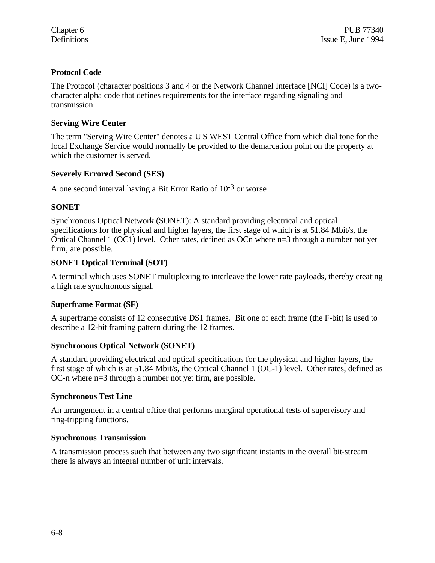# **Protocol Code**

The Protocol (character positions 3 and 4 or the Network Channel Interface [NCI] Code) is a twocharacter alpha code that defines requirements for the interface regarding signaling and transmission.

# **Serving Wire Center**

The term "Serving Wire Center" denotes a U S WEST Central Office from which dial tone for the local Exchange Service would normally be provided to the demarcation point on the property at which the customer is served.

# **Severely Errored Second (SES)**

A one second interval having a Bit Error Ratio of  $10^{-3}$  or worse

# **SONET**

Synchronous Optical Network (SONET): A standard providing electrical and optical specifications for the physical and higher layers, the first stage of which is at 51.84 Mbit/s, the Optical Channel 1 (OC1) level. Other rates, defined as OCn where n=3 through a number not yet firm, are possible.

## **SONET Optical Terminal (SOT)**

A terminal which uses SONET multiplexing to interleave the lower rate payloads, thereby creating a high rate synchronous signal.

## **Superframe Format (SF)**

A superframe consists of 12 consecutive DS1 frames. Bit one of each frame (the F-bit) is used to describe a 12-bit framing pattern during the 12 frames.

## **Synchronous Optical Network (SONET)**

A standard providing electrical and optical specifications for the physical and higher layers, the first stage of which is at 51.84 Mbit/s, the Optical Channel 1 (OC-1) level. Other rates, defined as OC-n where n=3 through a number not yet firm, are possible.

## **Synchronous Test Line**

An arrangement in a central office that performs marginal operational tests of supervisory and ring-tripping functions.

## **Synchronous Transmission**

A transmission process such that between any two significant instants in the overall bit-stream there is always an integral number of unit intervals.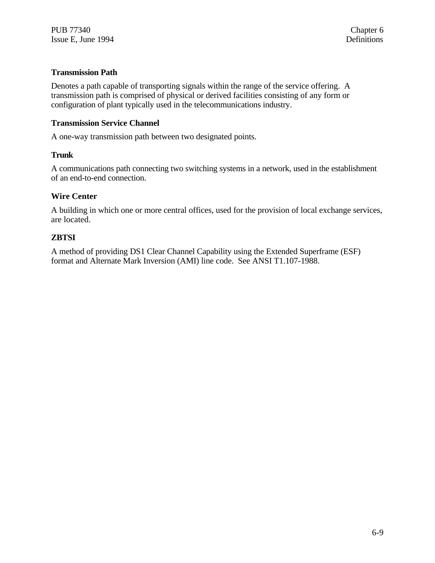#### **Transmission Path**

Denotes a path capable of transporting signals within the range of the service offering. A transmission path is comprised of physical or derived facilities consisting of any form or configuration of plant typically used in the telecommunications industry.

#### **Transmission Service Channel**

A one-way transmission path between two designated points.

#### **Trunk**

A communications path connecting two switching systems in a network, used in the establishment of an end-to-end connection.

#### **Wire Center**

A building in which one or more central offices, used for the provision of local exchange services, are located.

#### **ZBTSI**

A method of providing DS1 Clear Channel Capability using the Extended Superframe (ESF) format and Alternate Mark Inversion (AMI) line code. See ANSI T1.107-1988.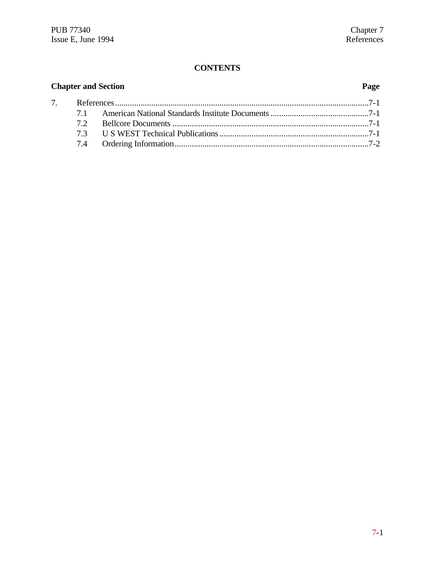# **CONTENTS**

| <b>Chapter and Section</b> |    |  | Page |
|----------------------------|----|--|------|
|                            |    |  |      |
|                            |    |  |      |
|                            | 72 |  |      |
|                            |    |  |      |
|                            |    |  |      |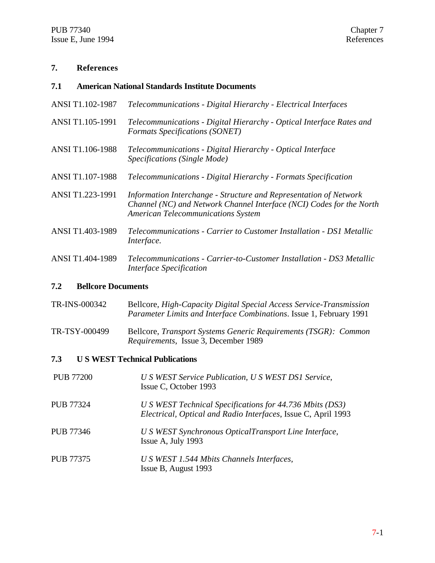#### **7. References**

#### **7.1 American National Standards Institute Documents**

- ANSI T1.102-1987 *Telecommunications Digital Hierarchy Electrical Interfaces*
- ANSI T1.105-1991 *Telecommunications Digital Hierarchy Optical Interface Rates and Formats Specifications (SONET)*
- ANSI T1.106-1988 *Telecommunications Digital Hierarchy Optical Interface Specifications (Single Mode)*
- ANSI T1.107-1988 *Telecommunications Digital Hierarchy Formats Specification*
- ANSI T1.223-1991 *Information Interchange Structure and Representation of Network Channel (NC) and Network Channel Interface (NCI) Codes for the North American Telecommunications System*
- ANSI T1.403-1989 *Telecommunications Carrier to Customer Installation DS1 Metallic Interface.*
- ANSI T1.404-1989 *Telecommunications Carrier-to-Customer Installation DS3 Metallic Interface Specification*

#### **7.2 Bellcore Documents**

- TR-INS-000342 Bellcore, *High-Capacity Digital Special Access Service-Transmission Parameter Limits and Interface Combinations*. Issue 1, February 1991
- TR-TSY-000499 Bellcore, *Transport Systems Generic Requirements (TSGR): Common Requirements*, Issue 3, December 1989

#### **7.3 U S WEST Technical Publications**

| <b>PUB 77200</b> | U S WEST Service Publication, U S WEST DS1 Service,<br>Issue C, October 1993                                              |
|------------------|---------------------------------------------------------------------------------------------------------------------------|
| <b>PUB 77324</b> | U S WEST Technical Specifications for 44.736 Mbits (DS3)<br>Electrical, Optical and Radio Interfaces, Issue C, April 1993 |
| PUB 77346        | U S WEST Synchronous OpticalTransport Line Interface,<br>Issue A, July 1993                                               |
| <b>PUB 77375</b> | U S WEST 1.544 Mbits Channels Interfaces,<br>Issue B, August 1993                                                         |